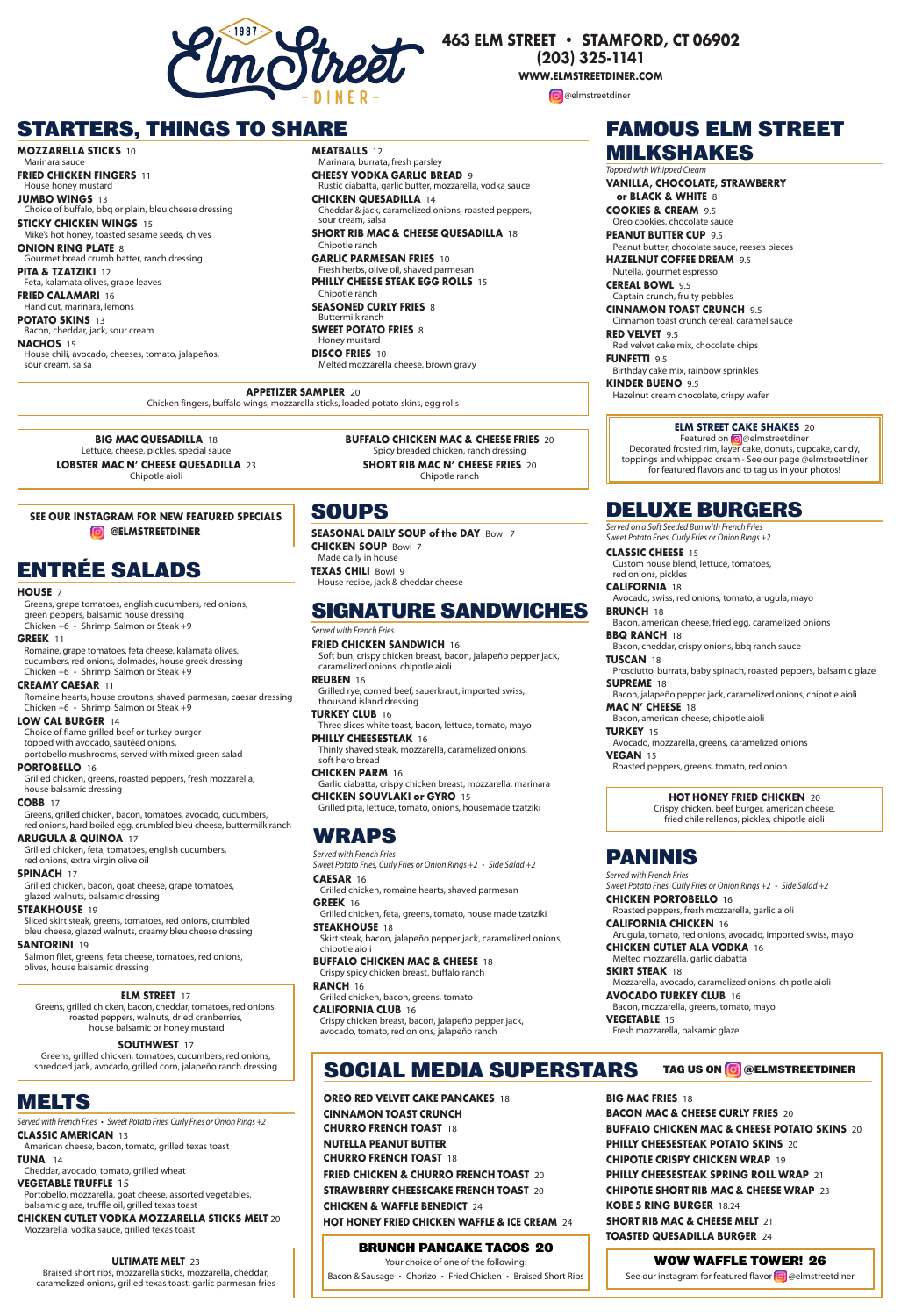**MOZZARELLA STICKS** 10 Marinara sauce

**FRIED CHICKEN FINGERS** 11 House honey mustard

**JUMBO WINGS** 13 Choice of buffalo, bbq or plain, bleu cheese dressing

**STICKY CHICKEN WINGS** 15 Mike's hot honey, toasted sesame seeds, chives

**ONION RING PLATE** 8 Gourmet bread crumb batter, ranch dressing

**PITA & TZATZIKI** 12 Feta, kalamata olives, grape leaves

**FRIED CALAMARI** 16 Hand cut, marinara, lemons

**POTATO SKINS** 13 Bacon, cheddar, jack, sour cream

**NACHOS** 15 House chili, avocado, cheeses, tomato, jalapeños, sour cream, salsa

**MEATBALLS** 12 Marinara, burrata, fresh parsley

**CHEESY VODKA GARLIC BREAD** 9 Rustic ciabatta, garlic butter, mozzarella, vodka sauce

> Featured on @@elmstreetdiner Decorated frosted rim, layer cake, donuts, cupcake, candy, toppings and whipped cream - See our page @elmstreetdiner for featured flavors and to tag us in your photos!

**CHICKEN QUESADILLA** 14 Cheddar & jack, caramelized onions, roasted peppers, sour cream, salsa

**SHORT RIB MAC & CHEESE QUESADILLA** 18 Chipotle ranch

**GARLIC PARMESAN FRIES** 10 Fresh herbs, olive oil, shaved parmesan **PHILLY CHEESE STEAK EGG ROLLS** 15 Chipotle ranch **SEASONED CURLY FRIES** 8 Buttermilk ranch **SWEET POTATO FRIES** 8 Honey mustard **DISCO FRIES** 10

Melted mozzarella cheese, brown gravy

## **FAMOUS ELM STREET MILKSHAKES**

*Topped with Whipped Cream*

### **ELM STREET CAKE SHAKES** 20

**VANILLA, CHOCOLATE, STRAWBERRY or BLACK & WHITE** 8

**COOKIES & CREAM** 9.5 Oreo cookies, chocolate sauce

**PEANUT BUTTER CUP** 9.5 Peanut butter, chocolate sauce, reese's pieces

**HAZELNUT COFFEE DREAM** 9.5 Nutella, gourmet espresso

**CEREAL BOWL** 9.5 Captain crunch, fruity pebbles

**CINNAMON TOAST CRUNCH** 9.5 Cinnamon toast crunch cereal, caramel sauce

**RED VELVET** 9.5 Red velvet cake mix, chocolate chips

**FUNFETTI** 9.5 Birthday cake mix, rainbow sprinkles

**KINDER BUENO** 9.5 Hazelnut cream chocolate, crispy wafer

## **STARTERS, THINGS TO SHARE**

**APPETIZER SAMPLER** 20 Chicken fingers, buffalo wings, mozzarella sticks, loaded potato skins, egg rolls

**BIG MAC QUESADILLA** 18 Lettuce, cheese, pickles, special sauce

**LOBSTER MAC N' CHEESE QUESADILLA** 23 Chipotle aioli

#### **BUFFALO CHICKEN MAC & CHEESE FRIES** 20 Spicy breaded chicken, ranch dressing

**SHORT RIB MAC N' CHEESE FRIES** 20

Chipotle ranch

#### **HOUSE** 7

Greens, grape tomatoes, english cucumbers, red onions, green peppers, balsamic house dressing Chicken +6 • Shrimp, Salmon or Steak +9

#### **GREEK** 11

Romaine, grape tomatoes, feta cheese, kalamata olives, cucumbers, red onions, dolmades, house greek dressing Chicken +6 • Shrimp, Salmon or Steak +9

#### **CREAMY CAESAR** 11

Romaine hearts, house croutons, shaved parmesan, caesar dressing Chicken +6 • Shrimp, Salmon or Steak +9

**CALIFORNIA** 18 Avocado, swiss, red onions, tomato, arugula, mayo **BRUNCH** 18

#### **LOW CAL BURGER** 14

Choice of flame grilled beef or turkey burger topped with avocado, sautéed onions, portobello mushrooms, served with mixed green salad

#### **PORTOBELLO** 16

Grilled chicken, greens, roasted peppers, fresh mozzarella, house balsamic dressing

#### **COBB** 17

Greens, grilled chicken, bacon, tomatoes, avocado, cucumbers, red onions, hard boiled egg, crumbled bleu cheese, buttermilk ranch

### **ARUGULA & QUINOA** 17

Grilled chicken, feta, tomatoes, english cucumbers, red onions, extra virgin olive oil

### **SPINACH** 17

Grilled chicken, bacon, goat cheese, grape tomatoes, glazed walnuts, balsamic dressing

### **STEAKHOUSE** 19

Sliced skirt steak, greens, tomatoes, red onions, crumbled bleu cheese, glazed walnuts, creamy bleu cheese dressing

### **SANTORINI** 19

Salmon filet, greens, feta cheese, tomatoes, red onions, olives, house balsamic dressing

## **ENTRÉE SALADS**

## **ELM STREET** 17

Greens, grilled chicken, bacon, cheddar, tomatoes, red onions, roasted peppers, walnuts, dried cranberries, house balsamic or honey mustard

## **SOUTHWEST** 17

Greens, grilled chicken, tomatoes, cucumbers, red onions, shredded jack, avocado, grilled corn, jalapeño ranch dressing **FRIED CHICKEN SANDWICH** 16 Soft bun, crispy chicken breast, bacon, jalapeño pepper jack,

caramelized onions, chipotle aioli **REUBEN** 16

Grilled rye, corned beef, sauerkraut, imported swiss, thousand island dressing

**TURKEY CLUB** 16 Three slices white toast, bacon, lettuce, tomato, mayo

#### **PHILLY CHEESESTEAK** 16

Thinly shaved steak, mozzarella, caramelized onions, soft hero bread

#### **CHICKEN PARM** 16

Garlic ciabatta, crispy chicken breast, mozzarella, marinara **CHICKEN SOUVLAKI or GYRO** 15

### Grilled pita, lettuce, tomato, onions, housemade tzatziki

## **SIGNATURE SANDWICHES**

#### *Served with French Fries*

## **SOUPS**

**SEASONAL DAILY SOUP of the DAY** Bowl 7 **CHICKEN SOUP** Bowl 7 Made daily in house **TEXAS CHILI** Bowl 9 House recipe, jack & cheddar cheese

### **CAESAR** 16

Grilled chicken, romaine hearts, shaved parmesan

### **GREEK** 16

Grilled chicken, feta, greens, tomato, house made tzatziki

### **STEAKHOUSE** 18

Skirt steak, bacon, jalapeño pepper jack, caramelized onions, chipotle aioli

### **BUFFALO CHICKEN MAC & CHEESE** 18

Crispy spicy chicken breast, buffalo ranch

#### **RANCH** 16

Grilled chicken, bacon, greens, tomato

### **CALIFORNIA CLUB** 16

Crispy chicken breast, bacon, jalapeño pepper jack, avocado, tomato, red onions, jalapeño ranch

## **WRAPS**

*Served with French Fries Sweet Potato Fries, Curly Fries or Onion Rings +2 • Side Salad +2*

### **HOT HONEY FRIED CHICKEN** 20

Crispy chicken, beef burger, american cheese, fried chile rellenos, pickles, chipotle aioli

**CLASSIC CHEESE** 15 Custom house blend, lettuce, tomatoes, red onions, pickles

Bacon, american cheese, fried egg, caramelized onions

**BBQ RANCH** 18 Bacon, cheddar, crispy onions, bbq ranch sauce

**TUSCAN** 18 Prosciutto, burrata, baby spinach, roasted peppers, balsamic glaze

**SUPREME** 18 Bacon, jalapeño pepper jack, caramelized onions, chipotle aioli

**MAC N' CHEESE** 18

Bacon, american cheese, chipotle aioli

**TURKEY** 15

Avocado, mozzarella, greens, caramelized onions **VEGAN** 15

Roasted peppers, greens, tomato, red onion

## **DELUXE BURGERS**

*Served on a Soft Seeded Bun with French Fries Sweet Potato Fries, Curly Fries or Onion Rings +2*

## **ULTIMATE MELT** 23

Braised short ribs, mozzarella sticks, mozzarella, cheddar, caramelized onions, grilled texas toast, garlic parmesan fries **CHICKEN PORTOBELLO** 16 Roasted peppers, fresh mozzarella, garlic aioli

#### **CALIFORNIA CHICKEN** 16 Arugula, tomato, red onions, avocado, imported swiss, mayo

**CHICKEN CUTLET ALA VODKA** 16 Melted mozzarella, garlic ciabatta

#### **SKIRT STEAK** 18 Mozzarella, avocado, caramelized onions, chipotle aioli

**AVOCADO TURKEY CLUB** 16 Bacon, mozzarella, greens, tomato, mayo

### **VEGETABLE** 15

Fresh mozzarella, balsamic glaze



#### *Served with French Fries Sweet Potato Fries, Curly Fries or Onion Rings +2 • Side Salad +2*

### **CLASSIC AMERICAN** 13

American cheese, bacon, tomato, grilled texas toast

### **TUNA** 14

Cheddar, avocado, tomato, grilled wheat

### **VEGETABLE TRUFFLE** 15

Portobello, mozzarella, goat cheese, assorted vegetables, balsamic glaze, truffle oil, grilled texas toast

## **CHICKEN CUTLET VODKA MOZZARELLA STICKS MELT** 20

Mozzarella, vodka sauce, grilled texas toast

## **MELTS**

*Served with French Fries • Sweet Potato Fries, Curly Fries orOnion Rings +2*



## **463 ELM STREET • STAMFORD, CT 06902**

**(203) 325-1141**

**WWW.ELMSTREETDINER.COM**

**@** @elmstreetdiner

**OREO RED VELVET CAKE PANCAKES** 18 **CINNAMON TOAST CRUNCH CHURRO FRENCH TOAST** 18 **NUTELLA PEANUT BUTTER CHURRO FRENCH TOAST** 18 **FRIED CHICKEN & CHURRO FRENCH TOAST** 20 **STRAWBERRY CHEESECAKE FRENCH TOAST** 20 **CHICKEN & WAFFLE BENEDICT** 24 **HOT HONEY FRIED CHICKEN WAFFLE & ICE CREAM** 24

**BIG MAC FRIES** 18 **BACON MAC & CHEESE CURLY FRIES** 20 **BUFFALO CHICKEN MAC & CHEESE POTATO SKINS** 20 **PHILLY CHEESESTEAK POTATO SKINS** 20 **CHIPOTLE CRISPY CHICKEN WRAP** 19 **PHILLY CHEESESTEAK SPRING ROLL WRAP** 21 **CHIPOTLE SHORT RIB MAC & CHEESE WRAP** 23 **KOBE 5 RING BURGER** 18.24 **SHORT RIB MAC & CHEESE MELT** 21 **TOASTED QUESADILLA BURGER** 24

# **SOCIAL MEDIA SUPERSTARS TAG US ON @ELMSTREETDINER**

## **WOW WAFFLE TOWER! 26**

See our instagram for featured flavor **@** @elmstreetdiner

## **BRUNCH PANCAKE TACOS 20**

Your choice of one of the following: Bacon & Sausage • Chorizo • Fried Chicken • Braised Short Ribs

### **SEE OUR INSTAGRAM FOR NEW FEATURED SPECIALS @ELMSTREETDINER**